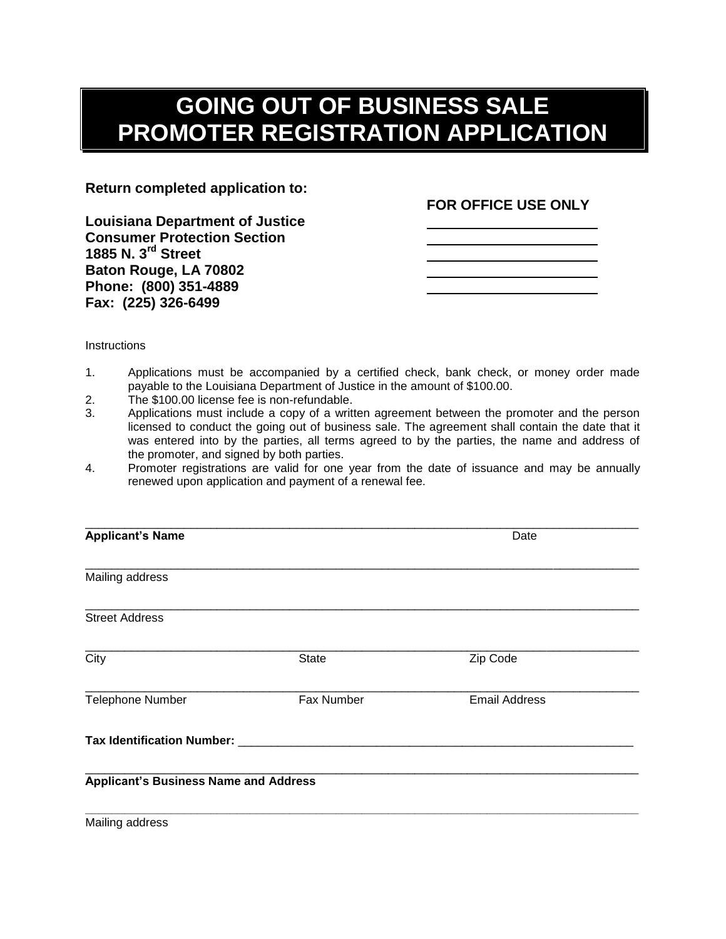## **GOING OUT OF BUSINESS SALE PROMOTER REGISTRATION APPLICATION**

**Return completed application to:**

**Louisiana Department of Justice Consumer Protection Section 1885 N. 3rd Street Baton Rouge, LA 70802 Phone: (800) 351-4889 Fax: (225) 326-6499**

## **FOR OFFICE USE ONLY**

**Instructions** 

- 1. Applications must be accompanied by a certified check, bank check, or money order made payable to the Louisiana Department of Justice in the amount of \$100.00.
- 2. The \$100.00 license fee is non-refundable.
- 3. Applications must include a copy of a written agreement between the promoter and the person licensed to conduct the going out of business sale. The agreement shall contain the date that it was entered into by the parties, all terms agreed to by the parties, the name and address of the promoter, and signed by both parties.
- 4. Promoter registrations are valid for one year from the date of issuance and may be annually renewed upon application and payment of a renewal fee.

| <b>Applicant's Name</b>                      |              | Date                 |  |
|----------------------------------------------|--------------|----------------------|--|
|                                              |              |                      |  |
| Mailing address                              |              |                      |  |
| <b>Street Address</b>                        |              |                      |  |
|                                              |              |                      |  |
| City                                         | <b>State</b> | Zip Code             |  |
| Telephone Number                             | Fax Number   | <b>Email Address</b> |  |
| Tax Identification Number: ___               |              |                      |  |
| <b>Applicant's Business Name and Address</b> |              |                      |  |
|                                              |              |                      |  |

Mailing address